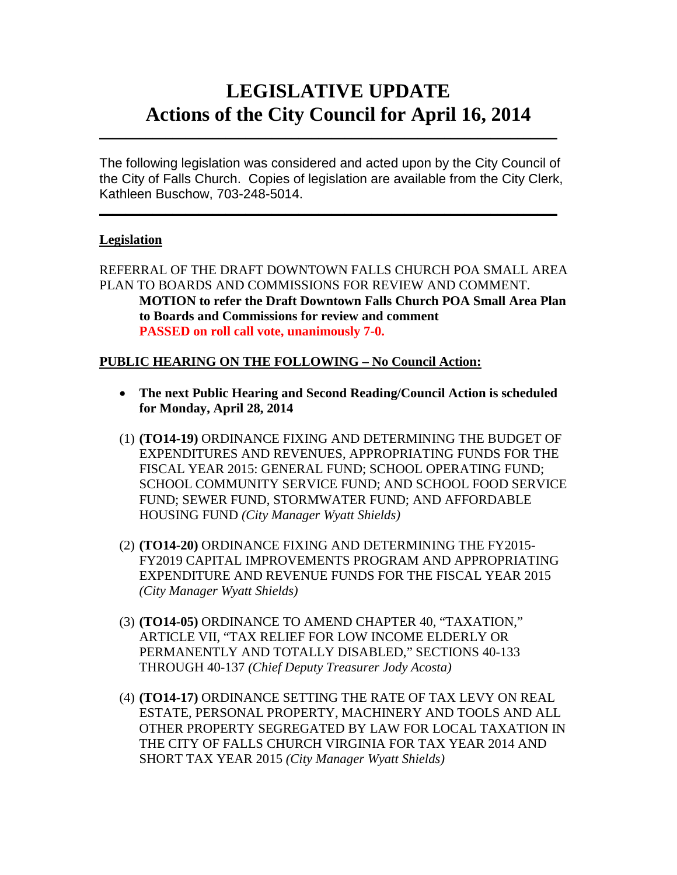# **LEGISLATIVE UPDATE Actions of the City Council for April 16, 2014**

The following legislation was considered and acted upon by the City Council of the City of Falls Church. Copies of legislation are available from the City Clerk, Kathleen Buschow, 703-248-5014.

 $\mathcal{L}_\text{max}$  and  $\mathcal{L}_\text{max}$  and  $\mathcal{L}_\text{max}$  and  $\mathcal{L}_\text{max}$  and  $\mathcal{L}_\text{max}$  and  $\mathcal{L}_\text{max}$ 

 $\mathcal{L}_\text{max}$  and  $\mathcal{L}_\text{max}$  and  $\mathcal{L}_\text{max}$  and  $\mathcal{L}_\text{max}$  and  $\mathcal{L}_\text{max}$  and  $\mathcal{L}_\text{max}$ 

# **Legislation**

REFERRAL OF THE DRAFT DOWNTOWN FALLS CHURCH POA SMALL AREA PLAN TO BOARDS AND COMMISSIONS FOR REVIEW AND COMMENT. **MOTION to refer the Draft Downtown Falls Church POA Small Area Plan to Boards and Commissions for review and comment PASSED on roll call vote, unanimously 7-0.**

#### **PUBLIC HEARING ON THE FOLLOWING – No Council Action:**

- **The next Public Hearing and Second Reading/Council Action is scheduled for Monday, April 28, 2014**
- (1) **(TO14-19)** ORDINANCE FIXING AND DETERMINING THE BUDGET OF EXPENDITURES AND REVENUES, APPROPRIATING FUNDS FOR THE FISCAL YEAR 2015: GENERAL FUND; SCHOOL OPERATING FUND; SCHOOL COMMUNITY SERVICE FUND; AND SCHOOL FOOD SERVICE FUND; SEWER FUND, STORMWATER FUND; AND AFFORDABLE HOUSING FUND *(City Manager Wyatt Shields)*
- (2) **(TO14-20)** ORDINANCE FIXING AND DETERMINING THE FY2015- FY2019 CAPITAL IMPROVEMENTS PROGRAM AND APPROPRIATING EXPENDITURE AND REVENUE FUNDS FOR THE FISCAL YEAR 2015 *(City Manager Wyatt Shields)*
- (3) **(TO14-05)** ORDINANCE TO AMEND CHAPTER 40, "TAXATION," ARTICLE VII, "TAX RELIEF FOR LOW INCOME ELDERLY OR PERMANENTLY AND TOTALLY DISABLED," SECTIONS 40-133 THROUGH 40-137 *(Chief Deputy Treasurer Jody Acosta)*
- (4) **(TO14-17)** ORDINANCE SETTING THE RATE OF TAX LEVY ON REAL ESTATE, PERSONAL PROPERTY, MACHINERY AND TOOLS AND ALL OTHER PROPERTY SEGREGATED BY LAW FOR LOCAL TAXATION IN THE CITY OF FALLS CHURCH VIRGINIA FOR TAX YEAR 2014 AND SHORT TAX YEAR 2015 *(City Manager Wyatt Shields)*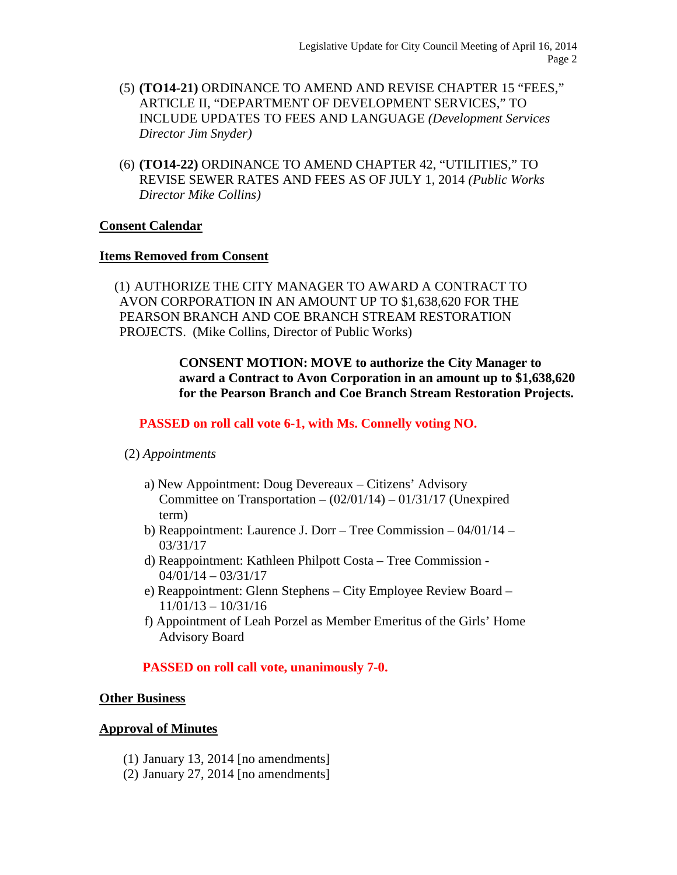- (5) **(TO14-21)** ORDINANCE TO AMEND AND REVISE CHAPTER 15 "FEES," ARTICLE II, "DEPARTMENT OF DEVELOPMENT SERVICES," TO INCLUDE UPDATES TO FEES AND LANGUAGE *(Development Services Director Jim Snyder)*
- (6) **(TO14-22)** ORDINANCE TO AMEND CHAPTER 42, "UTILITIES," TO REVISE SEWER RATES AND FEES AS OF JULY 1, 2014 *(Public Works Director Mike Collins)*

# **Consent Calendar**

#### **Items Removed from Consent**

(1) AUTHORIZE THE CITY MANAGER TO AWARD A CONTRACT TO AVON CORPORATION IN AN AMOUNT UP TO \$1,638,620 FOR THE PEARSON BRANCH AND COE BRANCH STREAM RESTORATION PROJECTS. (Mike Collins, Director of Public Works)

> **CONSENT MOTION: MOVE to authorize the City Manager to award a Contract to Avon Corporation in an amount up to \$1,638,620 for the Pearson Branch and Coe Branch Stream Restoration Projects.**

# **PASSED on roll call vote 6-1, with Ms. Connelly voting NO.**

#### (2) *Appointments*

- a) New Appointment: Doug Devereaux Citizens' Advisory Committee on Transportation  $- (02/01/14) - 01/31/17$  (Unexpired term)
- b) Reappointment: Laurence J. Dorr Tree Commission 04/01/14 03/31/17
- d) Reappointment: Kathleen Philpott Costa Tree Commission 04/01/14 – 03/31/17
- e) Reappointment: Glenn Stephens City Employee Review Board 11/01/13 – 10/31/16
- f) Appointment of Leah Porzel as Member Emeritus of the Girls' Home Advisory Board

# **PASSED on roll call vote, unanimously 7-0.**

#### **Other Business**

#### **Approval of Minutes**

- (1) January 13, 2014 [no amendments]
- (2) January 27, 2014 [no amendments]